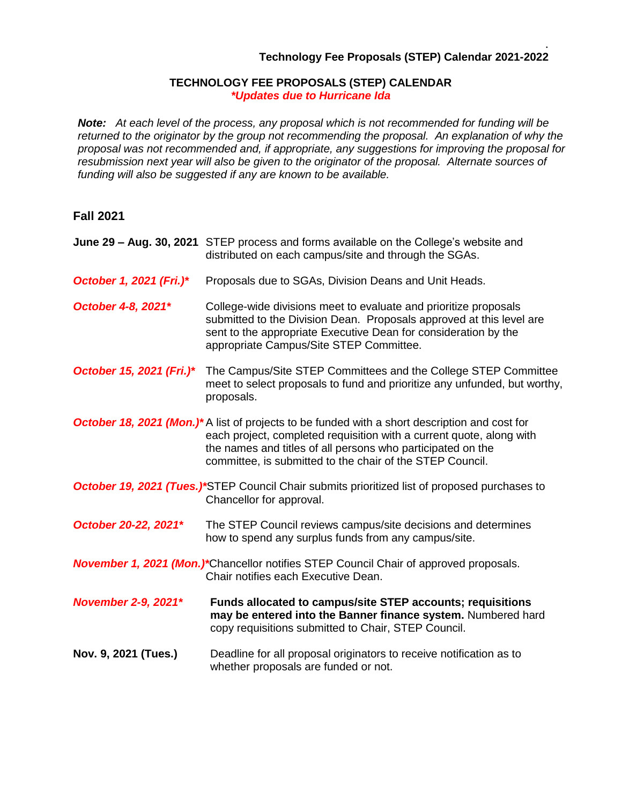## . **Technology Fee Proposals (STEP) Calendar 2021-2022**

## **TECHNOLOGY FEE PROPOSALS (STEP) CALENDAR** *\*Updates due to Hurricane Ida*

*Note: At each level of the process, any proposal which is not recommended for funding will be returned to the originator by the group not recommending the proposal. An explanation of why the proposal was not recommended and, if appropriate, any suggestions for improving the proposal for resubmission next year will also be given to the originator of the proposal. Alternate sources of funding will also be suggested if any are known to be available.*

## **Fall 2021**

- **June 29 – Aug. 30, 2021** STEP process and forms available on the College's website and distributed on each campus/site and through the SGAs.
- *October 1, 2021 (Fri.)\** Proposals due to SGAs, Division Deans and Unit Heads.
- *October* 4-8, 2021<sup>\*</sup> College-wide divisions meet to evaluate and prioritize proposals submitted to the Division Dean. Proposals approved at this level are sent to the appropriate Executive Dean for consideration by the appropriate Campus/Site STEP Committee.
- *October 15, 2021 (Fri.)\** The Campus/Site STEP Committees and the College STEP Committee meet to select proposals to fund and prioritize any unfunded, but worthy, proposals.
- *October 18, 2021 (Mon.)\** A list of projects to be funded with a short description and cost for each project, completed requisition with a current quote, along with the names and titles of all persons who participated on the committee, is submitted to the chair of the STEP Council.
- *October 19, 2021 (Tues.)\*STEP Council Chair submits prioritized list of proposed purchases to* Chancellor for approval.
- *October 20-22, 2021\** The STEP Council reviews campus/site decisions and determines how to spend any surplus funds from any campus/site.
- *November 1, 2021 (Mon.)\**Chancellor notifies STEP Council Chair of approved proposals. Chair notifies each Executive Dean.
- *November 2-9, 2021\** **Funds allocated to campus/site STEP accounts; requisitions may be entered into the Banner finance system.** Numbered hard copy requisitions submitted to Chair, STEP Council.
- **Nov. 9, 2021 (Tues.)** Deadline for all proposal originators to receive notification as to whether proposals are funded or not.